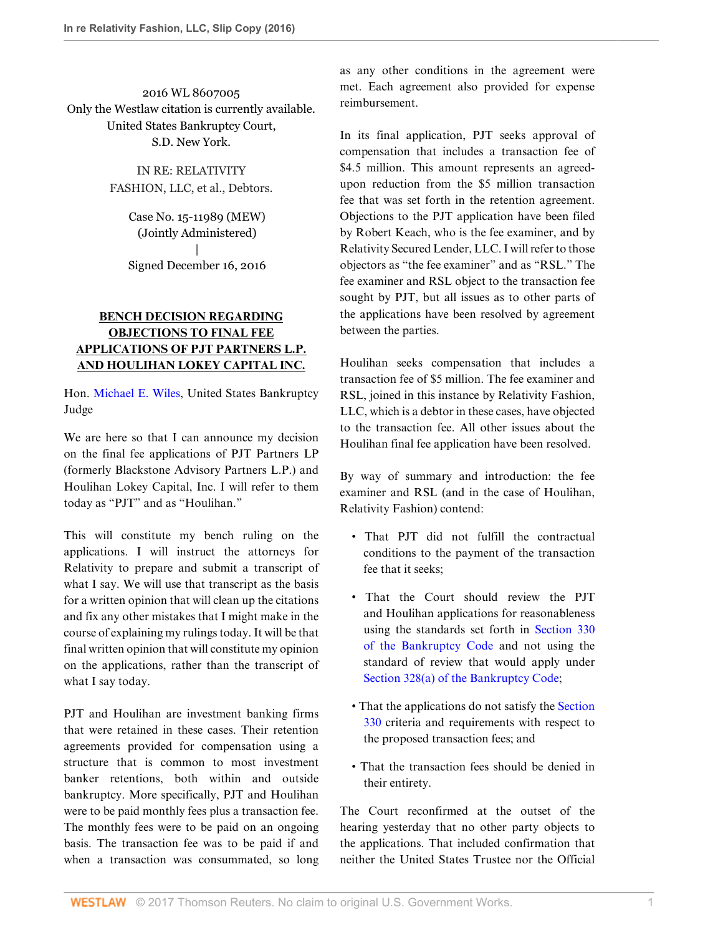2016 WL 8607005 Only the Westlaw citation is currently available. United States Bankruptcy Court, S.D. New York.

> IN RE: RELATIVITY FASHION, LLC, et al., Debtors.

> > Case No. 15-11989 (MEW) (Jointly Administered) | Signed December 16, 2016

## **BENCH DECISION REGARDING OBJECTIONS TO FINAL FEE APPLICATIONS OF PJT PARTNERS L.P. AND HOULIHAN LOKEY CAPITAL INC.**

Hon. [Michael E. Wiles,](http://www.westlaw.com/Link/Document/FullText?findType=h&pubNum=176284&cite=0107726499&originatingDoc=Ib5bf714013aa11e7afe7804507f6db3f&refType=RQ&originationContext=document&vr=3.0&rs=cblt1.0&transitionType=DocumentItem&contextData=(sc.Search)) United States Bankruptcy Judge

We are here so that I can announce my decision on the final fee applications of PJT Partners LP (formerly Blackstone Advisory Partners L.P.) and Houlihan Lokey Capital, Inc. I will refer to them today as "PJT" and as "Houlihan."

This will constitute my bench ruling on the applications. I will instruct the attorneys for Relativity to prepare and submit a transcript of what I say. We will use that transcript as the basis for a written opinion that will clean up the citations and fix any other mistakes that I might make in the course of explaining my rulings today. It will be that final written opinion that will constitute my opinion on the applications, rather than the transcript of what I say today.

PJT and Houlihan are investment banking firms that were retained in these cases. Their retention agreements provided for compensation using a structure that is common to most investment banker retentions, both within and outside bankruptcy. More specifically, PJT and Houlihan were to be paid monthly fees plus a transaction fee. The monthly fees were to be paid on an ongoing basis. The transaction fee was to be paid if and when a transaction was consummated, so long as any other conditions in the agreement were met. Each agreement also provided for expense reimbursement.

In its final application, PJT seeks approval of compensation that includes a transaction fee of \$4.5 million. This amount represents an agreedupon reduction from the \$5 million transaction fee that was set forth in the retention agreement. Objections to the PJT application have been filed by Robert Keach, who is the fee examiner, and by Relativity Secured Lender, LLC. I will refer to those objectors as "the fee examiner" and as "RSL." The fee examiner and RSL object to the transaction fee sought by PJT, but all issues as to other parts of the applications have been resolved by agreement between the parties.

Houlihan seeks compensation that includes a transaction fee of \$5 million. The fee examiner and RSL, joined in this instance by Relativity Fashion, LLC, which is a debtor in these cases, have objected to the transaction fee. All other issues about the Houlihan final fee application have been resolved.

By way of summary and introduction: the fee examiner and RSL (and in the case of Houlihan, Relativity Fashion) contend:

- That PJT did not fulfill the contractual conditions to the payment of the transaction fee that it seeks;
- That the Court should review the PJT and Houlihan applications for reasonableness using the standards set forth in [Section 330](http://www.westlaw.com/Link/Document/FullText?findType=L&pubNum=1000611&cite=11USCAS330&originatingDoc=Ib5bf714013aa11e7afe7804507f6db3f&refType=LQ&originationContext=document&vr=3.0&rs=cblt1.0&transitionType=DocumentItem&contextData=(sc.Search)) [of the Bankruptcy Code](http://www.westlaw.com/Link/Document/FullText?findType=L&pubNum=1000611&cite=11USCAS330&originatingDoc=Ib5bf714013aa11e7afe7804507f6db3f&refType=LQ&originationContext=document&vr=3.0&rs=cblt1.0&transitionType=DocumentItem&contextData=(sc.Search)) and not using the standard of review that would apply under [Section 328\(a\) of the Bankruptcy Code;](http://www.westlaw.com/Link/Document/FullText?findType=L&pubNum=1000611&cite=11USCAS328&originatingDoc=Ib5bf714013aa11e7afe7804507f6db3f&refType=LQ&originationContext=document&vr=3.0&rs=cblt1.0&transitionType=DocumentItem&contextData=(sc.Search))
- That the applications do not satisfy the [Section](http://www.westlaw.com/Link/Document/FullText?findType=L&pubNum=1000611&cite=11USCAS330&originatingDoc=Ib5bf714013aa11e7afe7804507f6db3f&refType=LQ&originationContext=document&vr=3.0&rs=cblt1.0&transitionType=DocumentItem&contextData=(sc.Search)) [330](http://www.westlaw.com/Link/Document/FullText?findType=L&pubNum=1000611&cite=11USCAS330&originatingDoc=Ib5bf714013aa11e7afe7804507f6db3f&refType=LQ&originationContext=document&vr=3.0&rs=cblt1.0&transitionType=DocumentItem&contextData=(sc.Search)) criteria and requirements with respect to the proposed transaction fees; and
- That the transaction fees should be denied in their entirety.

The Court reconfirmed at the outset of the hearing yesterday that no other party objects to the applications. That included confirmation that neither the United States Trustee nor the Official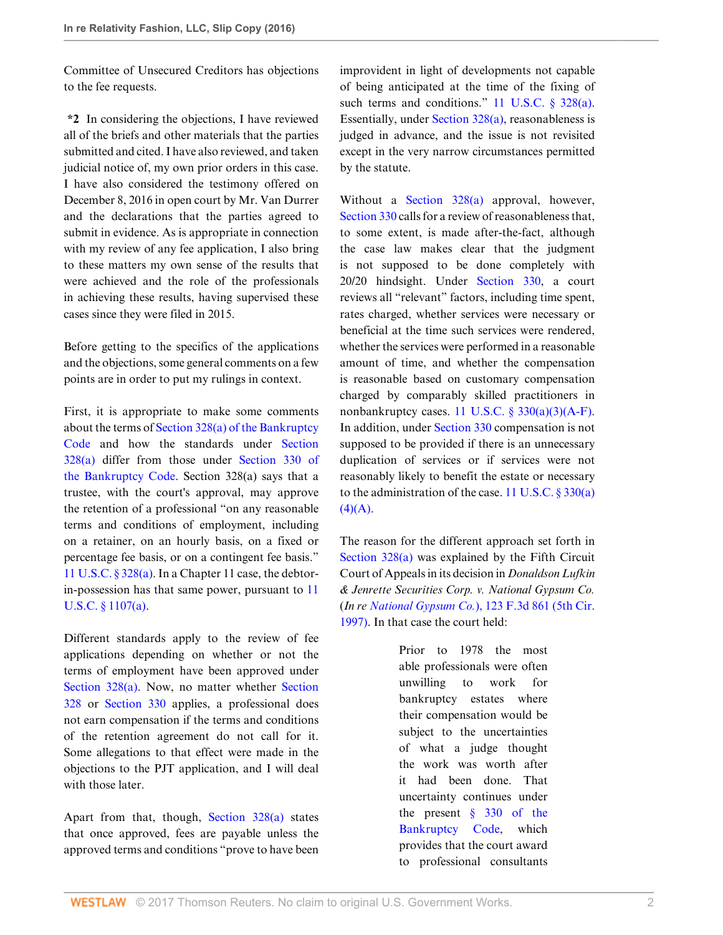Committee of Unsecured Creditors has objections to the fee requests.

**\*2** In considering the objections, I have reviewed all of the briefs and other materials that the parties submitted and cited. I have also reviewed, and taken judicial notice of, my own prior orders in this case. I have also considered the testimony offered on December 8, 2016 in open court by Mr. Van Durrer and the declarations that the parties agreed to submit in evidence. As is appropriate in connection with my review of any fee application, I also bring to these matters my own sense of the results that were achieved and the role of the professionals in achieving these results, having supervised these cases since they were filed in 2015.

Before getting to the specifics of the applications and the objections, some general comments on a few points are in order to put my rulings in context.

First, it is appropriate to make some comments about the terms of [Section 328\(a\) of the Bankruptcy](http://www.westlaw.com/Link/Document/FullText?findType=L&pubNum=1000611&cite=11USCAS328&originatingDoc=Ib5bf714013aa11e7afe7804507f6db3f&refType=LQ&originationContext=document&vr=3.0&rs=cblt1.0&transitionType=DocumentItem&contextData=(sc.Search)) [Code](http://www.westlaw.com/Link/Document/FullText?findType=L&pubNum=1000611&cite=11USCAS328&originatingDoc=Ib5bf714013aa11e7afe7804507f6db3f&refType=LQ&originationContext=document&vr=3.0&rs=cblt1.0&transitionType=DocumentItem&contextData=(sc.Search)) and how the standards under [Section](http://www.westlaw.com/Link/Document/FullText?findType=L&pubNum=1000611&cite=11USCAS328&originatingDoc=Ib5bf714013aa11e7afe7804507f6db3f&refType=LQ&originationContext=document&vr=3.0&rs=cblt1.0&transitionType=DocumentItem&contextData=(sc.Search)) [328\(a\)](http://www.westlaw.com/Link/Document/FullText?findType=L&pubNum=1000611&cite=11USCAS328&originatingDoc=Ib5bf714013aa11e7afe7804507f6db3f&refType=LQ&originationContext=document&vr=3.0&rs=cblt1.0&transitionType=DocumentItem&contextData=(sc.Search)) differ from those under [Section 330 of](http://www.westlaw.com/Link/Document/FullText?findType=L&pubNum=1000611&cite=11USCAS330&originatingDoc=Ib5bf714013aa11e7afe7804507f6db3f&refType=LQ&originationContext=document&vr=3.0&rs=cblt1.0&transitionType=DocumentItem&contextData=(sc.Search)) [the Bankruptcy Code.](http://www.westlaw.com/Link/Document/FullText?findType=L&pubNum=1000611&cite=11USCAS330&originatingDoc=Ib5bf714013aa11e7afe7804507f6db3f&refType=LQ&originationContext=document&vr=3.0&rs=cblt1.0&transitionType=DocumentItem&contextData=(sc.Search)) Section 328(a) says that a trustee, with the court's approval, may approve the retention of a professional "on any reasonable terms and conditions of employment, including on a retainer, on an hourly basis, on a fixed or percentage fee basis, or on a contingent fee basis." [11 U.S.C. § 328\(a\)](http://www.westlaw.com/Link/Document/FullText?findType=L&pubNum=1000546&cite=11USCAS328&originatingDoc=Ib5bf714013aa11e7afe7804507f6db3f&refType=SP&originationContext=document&vr=3.0&rs=cblt1.0&transitionType=DocumentItem&contextData=(sc.Search)#co_pp_8b3b0000958a4). In a Chapter 11 case, the debtorin-possession has that same power, pursuant to [11](http://www.westlaw.com/Link/Document/FullText?findType=L&pubNum=1000546&cite=11USCAS1107&originatingDoc=Ib5bf714013aa11e7afe7804507f6db3f&refType=SP&originationContext=document&vr=3.0&rs=cblt1.0&transitionType=DocumentItem&contextData=(sc.Search)#co_pp_8b3b0000958a4) [U.S.C. § 1107\(a\).](http://www.westlaw.com/Link/Document/FullText?findType=L&pubNum=1000546&cite=11USCAS1107&originatingDoc=Ib5bf714013aa11e7afe7804507f6db3f&refType=SP&originationContext=document&vr=3.0&rs=cblt1.0&transitionType=DocumentItem&contextData=(sc.Search)#co_pp_8b3b0000958a4)

Different standards apply to the review of fee applications depending on whether or not the terms of employment have been approved under [Section 328\(a\).](http://www.westlaw.com/Link/Document/FullText?findType=L&pubNum=1000546&cite=11USCAS328&originatingDoc=Ib5bf714013aa11e7afe7804507f6db3f&refType=SP&originationContext=document&vr=3.0&rs=cblt1.0&transitionType=DocumentItem&contextData=(sc.Search)#co_pp_8b3b0000958a4) Now, no matter whether [Section](http://www.westlaw.com/Link/Document/FullText?findType=L&pubNum=1000546&cite=11USCAS328&originatingDoc=Ib5bf714013aa11e7afe7804507f6db3f&refType=LQ&originationContext=document&vr=3.0&rs=cblt1.0&transitionType=DocumentItem&contextData=(sc.Search)) [328](http://www.westlaw.com/Link/Document/FullText?findType=L&pubNum=1000546&cite=11USCAS328&originatingDoc=Ib5bf714013aa11e7afe7804507f6db3f&refType=LQ&originationContext=document&vr=3.0&rs=cblt1.0&transitionType=DocumentItem&contextData=(sc.Search)) or [Section 330](http://www.westlaw.com/Link/Document/FullText?findType=L&pubNum=1000546&cite=11USCAS330&originatingDoc=Ib5bf714013aa11e7afe7804507f6db3f&refType=LQ&originationContext=document&vr=3.0&rs=cblt1.0&transitionType=DocumentItem&contextData=(sc.Search)) applies, a professional does not earn compensation if the terms and conditions of the retention agreement do not call for it. Some allegations to that effect were made in the objections to the PJT application, and I will deal with those later.

Apart from that, though, [Section 328\(a\)](http://www.westlaw.com/Link/Document/FullText?findType=L&pubNum=1000546&cite=11USCAS328&originatingDoc=Ib5bf714013aa11e7afe7804507f6db3f&refType=SP&originationContext=document&vr=3.0&rs=cblt1.0&transitionType=DocumentItem&contextData=(sc.Search)#co_pp_8b3b0000958a4) states that once approved, fees are payable unless the approved terms and conditions "prove to have been

improvident in light of developments not capable of being anticipated at the time of the fixing of such terms and conditions." [11 U.S.C. § 328\(a\)](http://www.westlaw.com/Link/Document/FullText?findType=L&pubNum=1000546&cite=11USCAS328&originatingDoc=Ib5bf714013aa11e7afe7804507f6db3f&refType=SP&originationContext=document&vr=3.0&rs=cblt1.0&transitionType=DocumentItem&contextData=(sc.Search)#co_pp_8b3b0000958a4). Essentially, under [Section 328\(a\),](http://www.westlaw.com/Link/Document/FullText?findType=L&pubNum=1000546&cite=11USCAS328&originatingDoc=Ib5bf714013aa11e7afe7804507f6db3f&refType=SP&originationContext=document&vr=3.0&rs=cblt1.0&transitionType=DocumentItem&contextData=(sc.Search)#co_pp_8b3b0000958a4) reasonableness is judged in advance, and the issue is not revisited except in the very narrow circumstances permitted by the statute.

Without a [Section 328\(a\)](http://www.westlaw.com/Link/Document/FullText?findType=L&pubNum=1000546&cite=11USCAS328&originatingDoc=Ib5bf714013aa11e7afe7804507f6db3f&refType=SP&originationContext=document&vr=3.0&rs=cblt1.0&transitionType=DocumentItem&contextData=(sc.Search)#co_pp_8b3b0000958a4) approval, however, [Section 330](http://www.westlaw.com/Link/Document/FullText?findType=L&pubNum=1000546&cite=11USCAS330&originatingDoc=Ib5bf714013aa11e7afe7804507f6db3f&refType=LQ&originationContext=document&vr=3.0&rs=cblt1.0&transitionType=DocumentItem&contextData=(sc.Search)) calls for a review of reasonableness that, to some extent, is made after-the-fact, although the case law makes clear that the judgment is not supposed to be done completely with 20/20 hindsight. Under [Section 330](http://www.westlaw.com/Link/Document/FullText?findType=L&pubNum=1000546&cite=11USCAS330&originatingDoc=Ib5bf714013aa11e7afe7804507f6db3f&refType=LQ&originationContext=document&vr=3.0&rs=cblt1.0&transitionType=DocumentItem&contextData=(sc.Search)), a court reviews all "relevant" factors, including time spent, rates charged, whether services were necessary or beneficial at the time such services were rendered, whether the services were performed in a reasonable amount of time, and whether the compensation is reasonable based on customary compensation charged by comparably skilled practitioners in nonbankruptcy cases. 11 U.S.C.  $\S$  330(a)(3)(A-F). In addition, under [Section 330](http://www.westlaw.com/Link/Document/FullText?findType=L&pubNum=1000546&cite=11USCAS330&originatingDoc=Ib5bf714013aa11e7afe7804507f6db3f&refType=LQ&originationContext=document&vr=3.0&rs=cblt1.0&transitionType=DocumentItem&contextData=(sc.Search)) compensation is not supposed to be provided if there is an unnecessary duplication of services or if services were not reasonably likely to benefit the estate or necessary to the administration of the case. 11 U.S.C.  $\S 330(a)$  $(4)(A)$ .

The reason for the different approach set forth in [Section 328\(a\)](http://www.westlaw.com/Link/Document/FullText?findType=L&pubNum=1000546&cite=11USCAS328&originatingDoc=Ib5bf714013aa11e7afe7804507f6db3f&refType=SP&originationContext=document&vr=3.0&rs=cblt1.0&transitionType=DocumentItem&contextData=(sc.Search)#co_pp_8b3b0000958a4) was explained by the Fifth Circuit Court of Appeals in its decision in *Donaldson Lufkin & Jenrette Securities Corp. v. National Gypsum Co.* (*In re National Gypsum Co.*[\), 123 F.3d 861 \(5th Cir.](http://www.westlaw.com/Link/Document/FullText?findType=Y&serNum=1997194930&pubNum=0000506&originatingDoc=Ib5bf714013aa11e7afe7804507f6db3f&refType=RP&originationContext=document&vr=3.0&rs=cblt1.0&transitionType=DocumentItem&contextData=(sc.Search)) [1997\)](http://www.westlaw.com/Link/Document/FullText?findType=Y&serNum=1997194930&pubNum=0000506&originatingDoc=Ib5bf714013aa11e7afe7804507f6db3f&refType=RP&originationContext=document&vr=3.0&rs=cblt1.0&transitionType=DocumentItem&contextData=(sc.Search)). In that case the court held:

> Prior to 1978 the most able professionals were often unwilling to work for bankruptcy estates where their compensation would be subject to the uncertainties of what a judge thought the work was worth after it had been done. That uncertainty continues under the present  $§$  330 of the [Bankruptcy Code](http://www.westlaw.com/Link/Document/FullText?findType=L&pubNum=1000611&cite=11USCAS330&originatingDoc=Ib5bf714013aa11e7afe7804507f6db3f&refType=LQ&originationContext=document&vr=3.0&rs=cblt1.0&transitionType=DocumentItem&contextData=(sc.Search)), which provides that the court award to professional consultants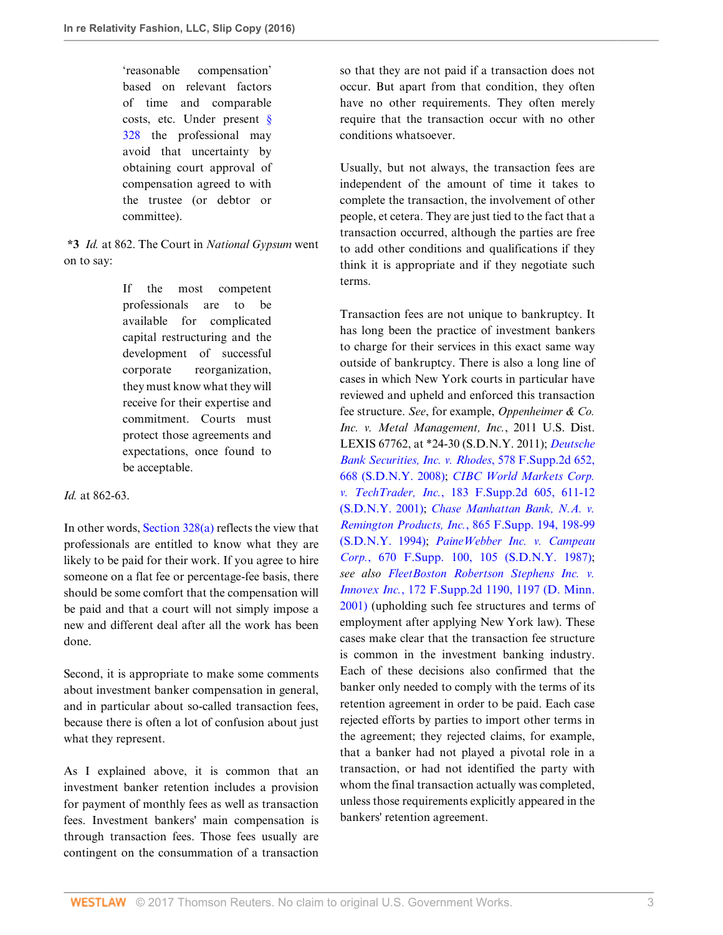'reasonable compensation' based on relevant factors of time and comparable costs, etc. Under present [§](http://www.westlaw.com/Link/Document/FullText?findType=L&pubNum=1000546&cite=11USCAS328&originatingDoc=Ib5bf714013aa11e7afe7804507f6db3f&refType=LQ&originationContext=document&vr=3.0&rs=cblt1.0&transitionType=DocumentItem&contextData=(sc.Search)) [328](http://www.westlaw.com/Link/Document/FullText?findType=L&pubNum=1000546&cite=11USCAS328&originatingDoc=Ib5bf714013aa11e7afe7804507f6db3f&refType=LQ&originationContext=document&vr=3.0&rs=cblt1.0&transitionType=DocumentItem&contextData=(sc.Search)) the professional may avoid that uncertainty by obtaining court approval of compensation agreed to with the trustee (or debtor or committee).

**\*3** *Id.* at 862. The Court in *National Gypsum* went on to say:

> If the most competent professionals are to be available for complicated capital restructuring and the development of successful corporate reorganization, they must know what they will receive for their expertise and commitment. Courts must protect those agreements and expectations, once found to be acceptable.

## *Id.* at 862-63.

In other words, Section  $328(a)$  reflects the view that professionals are entitled to know what they are likely to be paid for their work. If you agree to hire someone on a flat fee or percentage-fee basis, there should be some comfort that the compensation will be paid and that a court will not simply impose a new and different deal after all the work has been done.

Second, it is appropriate to make some comments about investment banker compensation in general, and in particular about so-called transaction fees, because there is often a lot of confusion about just what they represent.

As I explained above, it is common that an investment banker retention includes a provision for payment of monthly fees as well as transaction fees. Investment bankers' main compensation is through transaction fees. Those fees usually are contingent on the consummation of a transaction

so that they are not paid if a transaction does not occur. But apart from that condition, they often have no other requirements. They often merely require that the transaction occur with no other conditions whatsoever.

Usually, but not always, the transaction fees are independent of the amount of time it takes to complete the transaction, the involvement of other people, et cetera. They are just tied to the fact that a transaction occurred, although the parties are free to add other conditions and qualifications if they think it is appropriate and if they negotiate such terms.

Transaction fees are not unique to bankruptcy. It has long been the practice of investment bankers to charge for their services in this exact same way outside of bankruptcy. There is also a long line of cases in which New York courts in particular have reviewed and upheld and enforced this transaction fee structure. *See*, for example, *Oppenheimer & Co. Inc. v. Metal Management, Inc.*, 2011 U.S. Dist. LEXIS 67762, at \*24-30 (S.D.N.Y. 2011); *[Deutsche](http://www.westlaw.com/Link/Document/FullText?findType=Y&serNum=2017155838&pubNum=0004637&originatingDoc=Ib5bf714013aa11e7afe7804507f6db3f&refType=RP&fi=co_pp_sp_4637_668&originationContext=document&vr=3.0&rs=cblt1.0&transitionType=DocumentItem&contextData=(sc.Search)#co_pp_sp_4637_668) [Bank Securities, Inc. v. Rhodes](http://www.westlaw.com/Link/Document/FullText?findType=Y&serNum=2017155838&pubNum=0004637&originatingDoc=Ib5bf714013aa11e7afe7804507f6db3f&refType=RP&fi=co_pp_sp_4637_668&originationContext=document&vr=3.0&rs=cblt1.0&transitionType=DocumentItem&contextData=(sc.Search)#co_pp_sp_4637_668)*, 578 F.Supp.2d 652, [668 \(S.D.N.Y. 2008\);](http://www.westlaw.com/Link/Document/FullText?findType=Y&serNum=2017155838&pubNum=0004637&originatingDoc=Ib5bf714013aa11e7afe7804507f6db3f&refType=RP&fi=co_pp_sp_4637_668&originationContext=document&vr=3.0&rs=cblt1.0&transitionType=DocumentItem&contextData=(sc.Search)#co_pp_sp_4637_668) *[CIBC World Markets Corp.](http://www.westlaw.com/Link/Document/FullText?findType=Y&serNum=2001830589&pubNum=0004637&originatingDoc=Ib5bf714013aa11e7afe7804507f6db3f&refType=RP&fi=co_pp_sp_4637_611&originationContext=document&vr=3.0&rs=cblt1.0&transitionType=DocumentItem&contextData=(sc.Search)#co_pp_sp_4637_611) v. TechTrader, Inc.*[, 183 F.Supp.2d 605, 611-12](http://www.westlaw.com/Link/Document/FullText?findType=Y&serNum=2001830589&pubNum=0004637&originatingDoc=Ib5bf714013aa11e7afe7804507f6db3f&refType=RP&fi=co_pp_sp_4637_611&originationContext=document&vr=3.0&rs=cblt1.0&transitionType=DocumentItem&contextData=(sc.Search)#co_pp_sp_4637_611) [\(S.D.N.Y. 2001\);](http://www.westlaw.com/Link/Document/FullText?findType=Y&serNum=2001830589&pubNum=0004637&originatingDoc=Ib5bf714013aa11e7afe7804507f6db3f&refType=RP&fi=co_pp_sp_4637_611&originationContext=document&vr=3.0&rs=cblt1.0&transitionType=DocumentItem&contextData=(sc.Search)#co_pp_sp_4637_611) *[Chase Manhattan Bank, N.A. v.](http://www.westlaw.com/Link/Document/FullText?findType=Y&serNum=1994210916&pubNum=0000345&originatingDoc=Ib5bf714013aa11e7afe7804507f6db3f&refType=RP&fi=co_pp_sp_345_198&originationContext=document&vr=3.0&rs=cblt1.0&transitionType=DocumentItem&contextData=(sc.Search)#co_pp_sp_345_198) Remington Products, Inc.*[, 865 F.Supp. 194, 198-99](http://www.westlaw.com/Link/Document/FullText?findType=Y&serNum=1994210916&pubNum=0000345&originatingDoc=Ib5bf714013aa11e7afe7804507f6db3f&refType=RP&fi=co_pp_sp_345_198&originationContext=document&vr=3.0&rs=cblt1.0&transitionType=DocumentItem&contextData=(sc.Search)#co_pp_sp_345_198) [\(S.D.N.Y. 1994\);](http://www.westlaw.com/Link/Document/FullText?findType=Y&serNum=1994210916&pubNum=0000345&originatingDoc=Ib5bf714013aa11e7afe7804507f6db3f&refType=RP&fi=co_pp_sp_345_198&originationContext=document&vr=3.0&rs=cblt1.0&transitionType=DocumentItem&contextData=(sc.Search)#co_pp_sp_345_198) *[PaineWebber Inc. v. Campeau](http://www.westlaw.com/Link/Document/FullText?findType=Y&serNum=1987117703&pubNum=0000345&originatingDoc=Ib5bf714013aa11e7afe7804507f6db3f&refType=RP&fi=co_pp_sp_345_105&originationContext=document&vr=3.0&rs=cblt1.0&transitionType=DocumentItem&contextData=(sc.Search)#co_pp_sp_345_105) Corp.*[, 670 F.Supp. 100, 105 \(S.D.N.Y. 1987\)](http://www.westlaw.com/Link/Document/FullText?findType=Y&serNum=1987117703&pubNum=0000345&originatingDoc=Ib5bf714013aa11e7afe7804507f6db3f&refType=RP&fi=co_pp_sp_345_105&originationContext=document&vr=3.0&rs=cblt1.0&transitionType=DocumentItem&contextData=(sc.Search)#co_pp_sp_345_105); *see also [FleetBoston Robertson Stephens Inc. v.](http://www.westlaw.com/Link/Document/FullText?findType=Y&serNum=2001985730&pubNum=0004637&originatingDoc=Ib5bf714013aa11e7afe7804507f6db3f&refType=RP&fi=co_pp_sp_4637_1197&originationContext=document&vr=3.0&rs=cblt1.0&transitionType=DocumentItem&contextData=(sc.Search)#co_pp_sp_4637_1197) Innovex Inc.*[, 172 F.Supp.2d 1190, 1197 \(D. Minn.](http://www.westlaw.com/Link/Document/FullText?findType=Y&serNum=2001985730&pubNum=0004637&originatingDoc=Ib5bf714013aa11e7afe7804507f6db3f&refType=RP&fi=co_pp_sp_4637_1197&originationContext=document&vr=3.0&rs=cblt1.0&transitionType=DocumentItem&contextData=(sc.Search)#co_pp_sp_4637_1197) [2001\)](http://www.westlaw.com/Link/Document/FullText?findType=Y&serNum=2001985730&pubNum=0004637&originatingDoc=Ib5bf714013aa11e7afe7804507f6db3f&refType=RP&fi=co_pp_sp_4637_1197&originationContext=document&vr=3.0&rs=cblt1.0&transitionType=DocumentItem&contextData=(sc.Search)#co_pp_sp_4637_1197) (upholding such fee structures and terms of employment after applying New York law). These cases make clear that the transaction fee structure is common in the investment banking industry. Each of these decisions also confirmed that the banker only needed to comply with the terms of its retention agreement in order to be paid. Each case rejected efforts by parties to import other terms in the agreement; they rejected claims, for example, that a banker had not played a pivotal role in a transaction, or had not identified the party with whom the final transaction actually was completed, unless those requirements explicitly appeared in the bankers' retention agreement.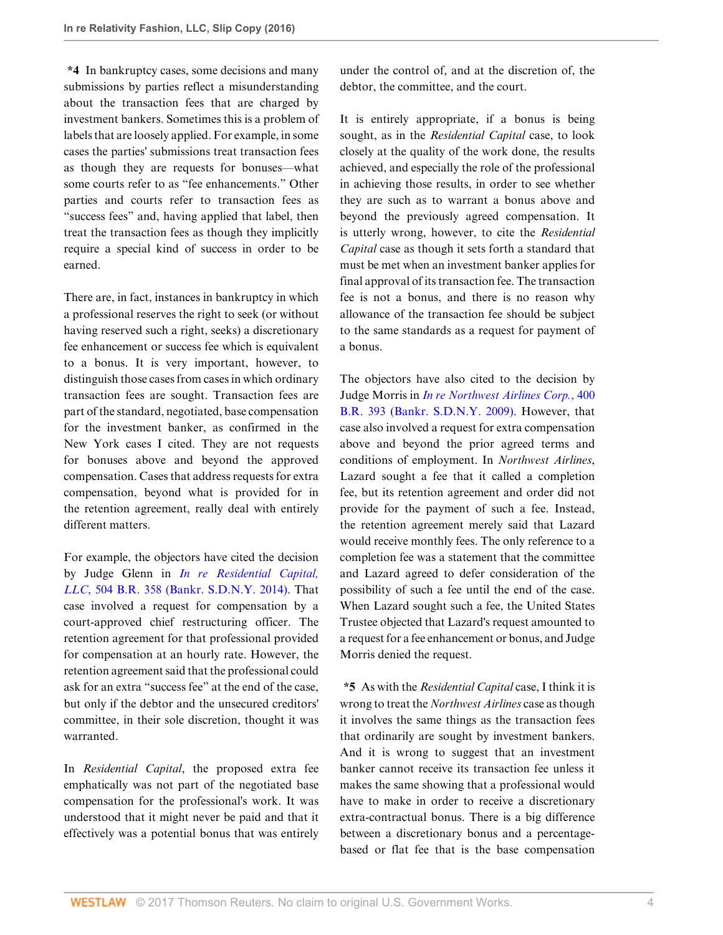**\*4** In bankruptcy cases, some decisions and many submissions by parties reflect a misunderstanding about the transaction fees that are charged by investment bankers. Sometimes this is a problem of labels that are loosely applied. For example, in some cases the parties' submissions treat transaction fees as though they are requests for bonuses—what some courts refer to as "fee enhancements." Other parties and courts refer to transaction fees as "success fees" and, having applied that label, then treat the transaction fees as though they implicitly require a special kind of success in order to be earned.

There are, in fact, instances in bankruptcy in which a professional reserves the right to seek (or without having reserved such a right, seeks) a discretionary fee enhancement or success fee which is equivalent to a bonus. It is very important, however, to distinguish those cases from cases in which ordinary transaction fees are sought. Transaction fees are part of the standard, negotiated, base compensation for the investment banker, as confirmed in the New York cases I cited. They are not requests for bonuses above and beyond the approved compensation. Cases that address requests for extra compensation, beyond what is provided for in the retention agreement, really deal with entirely different matters.

For example, the objectors have cited the decision by Judge Glenn in *[In re Residential Capital,](http://www.westlaw.com/Link/Document/FullText?findType=Y&serNum=2032672622&pubNum=0000164&originatingDoc=Ib5bf714013aa11e7afe7804507f6db3f&refType=RP&originationContext=document&vr=3.0&rs=cblt1.0&transitionType=DocumentItem&contextData=(sc.Search)) LLC*[, 504 B.R. 358 \(Bankr. S.D.N.Y. 2014\)](http://www.westlaw.com/Link/Document/FullText?findType=Y&serNum=2032672622&pubNum=0000164&originatingDoc=Ib5bf714013aa11e7afe7804507f6db3f&refType=RP&originationContext=document&vr=3.0&rs=cblt1.0&transitionType=DocumentItem&contextData=(sc.Search)). That case involved a request for compensation by a court-approved chief restructuring officer. The retention agreement for that professional provided for compensation at an hourly rate. However, the retention agreement said that the professional could ask for an extra "success fee" at the end of the case, but only if the debtor and the unsecured creditors' committee, in their sole discretion, thought it was warranted.

In *Residential Capital*, the proposed extra fee emphatically was not part of the negotiated base compensation for the professional's work. It was understood that it might never be paid and that it effectively was a potential bonus that was entirely

under the control of, and at the discretion of, the debtor, the committee, and the court.

It is entirely appropriate, if a bonus is being sought, as in the *Residential Capital* case, to look closely at the quality of the work done, the results achieved, and especially the role of the professional in achieving those results, in order to see whether they are such as to warrant a bonus above and beyond the previously agreed compensation. It is utterly wrong, however, to cite the *Residential Capital* case as though it sets forth a standard that must be met when an investment banker applies for final approval of its transaction fee. The transaction fee is not a bonus, and there is no reason why allowance of the transaction fee should be subject to the same standards as a request for payment of a bonus.

The objectors have also cited to the decision by Judge Morris in *[In re Northwest Airlines Corp.](http://www.westlaw.com/Link/Document/FullText?findType=Y&serNum=2018145841&pubNum=0000164&originatingDoc=Ib5bf714013aa11e7afe7804507f6db3f&refType=RP&originationContext=document&vr=3.0&rs=cblt1.0&transitionType=DocumentItem&contextData=(sc.Search))*, 400 [B.R. 393 \(Bankr. S.D.N.Y. 2009\).](http://www.westlaw.com/Link/Document/FullText?findType=Y&serNum=2018145841&pubNum=0000164&originatingDoc=Ib5bf714013aa11e7afe7804507f6db3f&refType=RP&originationContext=document&vr=3.0&rs=cblt1.0&transitionType=DocumentItem&contextData=(sc.Search)) However, that case also involved a request for extra compensation above and beyond the prior agreed terms and conditions of employment. In *Northwest Airlines*, Lazard sought a fee that it called a completion fee, but its retention agreement and order did not provide for the payment of such a fee. Instead, the retention agreement merely said that Lazard would receive monthly fees. The only reference to a completion fee was a statement that the committee and Lazard agreed to defer consideration of the possibility of such a fee until the end of the case. When Lazard sought such a fee, the United States Trustee objected that Lazard's request amounted to a request for a fee enhancement or bonus, and Judge Morris denied the request.

**\*5** As with the *Residential Capital* case, I think it is wrong to treat the *Northwest Airlines* case as though it involves the same things as the transaction fees that ordinarily are sought by investment bankers. And it is wrong to suggest that an investment banker cannot receive its transaction fee unless it makes the same showing that a professional would have to make in order to receive a discretionary extra-contractual bonus. There is a big difference between a discretionary bonus and a percentagebased or flat fee that is the base compensation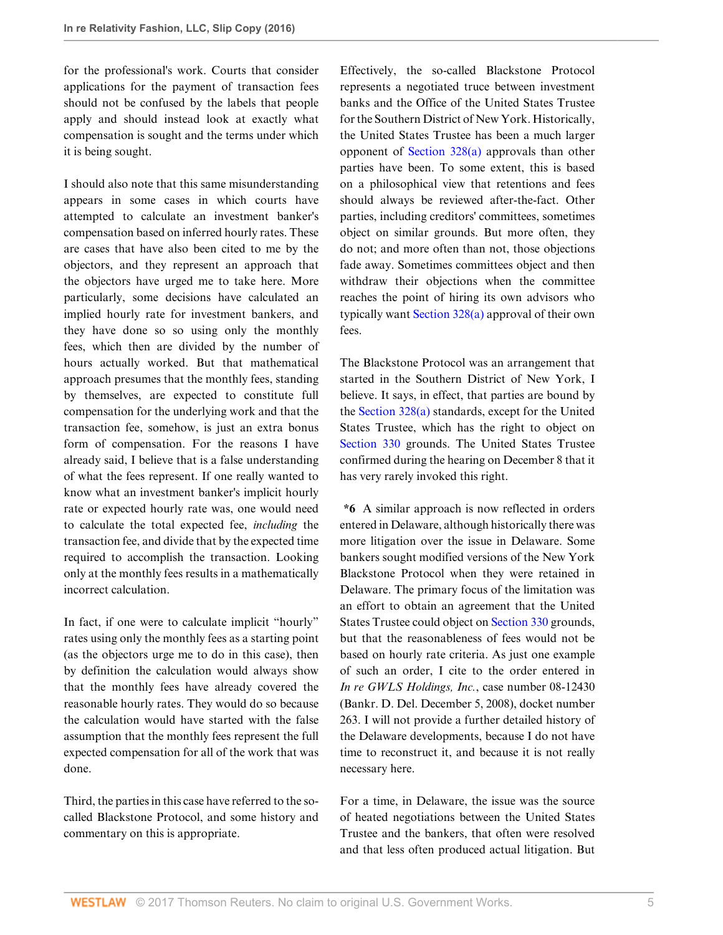for the professional's work. Courts that consider applications for the payment of transaction fees should not be confused by the labels that people apply and should instead look at exactly what compensation is sought and the terms under which it is being sought.

I should also note that this same misunderstanding appears in some cases in which courts have attempted to calculate an investment banker's compensation based on inferred hourly rates. These are cases that have also been cited to me by the objectors, and they represent an approach that the objectors have urged me to take here. More particularly, some decisions have calculated an implied hourly rate for investment bankers, and they have done so so using only the monthly fees, which then are divided by the number of hours actually worked. But that mathematical approach presumes that the monthly fees, standing by themselves, are expected to constitute full compensation for the underlying work and that the transaction fee, somehow, is just an extra bonus form of compensation. For the reasons I have already said, I believe that is a false understanding of what the fees represent. If one really wanted to know what an investment banker's implicit hourly rate or expected hourly rate was, one would need to calculate the total expected fee, *including* the transaction fee, and divide that by the expected time required to accomplish the transaction. Looking only at the monthly fees results in a mathematically incorrect calculation.

In fact, if one were to calculate implicit "hourly" rates using only the monthly fees as a starting point (as the objectors urge me to do in this case), then by definition the calculation would always show that the monthly fees have already covered the reasonable hourly rates. They would do so because the calculation would have started with the false assumption that the monthly fees represent the full expected compensation for all of the work that was done.

Third, the parties in this case have referred to the socalled Blackstone Protocol, and some history and commentary on this is appropriate.

Effectively, the so-called Blackstone Protocol represents a negotiated truce between investment banks and the Office of the United States Trustee for the Southern District of New York. Historically, the United States Trustee has been a much larger opponent of [Section 328\(a\)](http://www.westlaw.com/Link/Document/FullText?findType=L&pubNum=1000546&cite=11USCAS328&originatingDoc=Ib5bf714013aa11e7afe7804507f6db3f&refType=SP&originationContext=document&vr=3.0&rs=cblt1.0&transitionType=DocumentItem&contextData=(sc.Search)#co_pp_8b3b0000958a4) approvals than other parties have been. To some extent, this is based on a philosophical view that retentions and fees should always be reviewed after-the-fact. Other parties, including creditors' committees, sometimes object on similar grounds. But more often, they do not; and more often than not, those objections fade away. Sometimes committees object and then withdraw their objections when the committee reaches the point of hiring its own advisors who typically want [Section 328\(a\)](http://www.westlaw.com/Link/Document/FullText?findType=L&pubNum=1000546&cite=11USCAS328&originatingDoc=Ib5bf714013aa11e7afe7804507f6db3f&refType=SP&originationContext=document&vr=3.0&rs=cblt1.0&transitionType=DocumentItem&contextData=(sc.Search)#co_pp_8b3b0000958a4) approval of their own fees.

The Blackstone Protocol was an arrangement that started in the Southern District of New York, I believe. It says, in effect, that parties are bound by the [Section 328\(a\)](http://www.westlaw.com/Link/Document/FullText?findType=L&pubNum=1000546&cite=11USCAS328&originatingDoc=Ib5bf714013aa11e7afe7804507f6db3f&refType=SP&originationContext=document&vr=3.0&rs=cblt1.0&transitionType=DocumentItem&contextData=(sc.Search)#co_pp_8b3b0000958a4) standards, except for the United States Trustee, which has the right to object on [Section 330](http://www.westlaw.com/Link/Document/FullText?findType=L&pubNum=1000611&cite=11USCAS330&originatingDoc=Ib5bf714013aa11e7afe7804507f6db3f&refType=LQ&originationContext=document&vr=3.0&rs=cblt1.0&transitionType=DocumentItem&contextData=(sc.Search)) grounds. The United States Trustee confirmed during the hearing on December 8 that it has very rarely invoked this right.

**\*6** A similar approach is now reflected in orders entered in Delaware, although historically there was more litigation over the issue in Delaware. Some bankers sought modified versions of the New York Blackstone Protocol when they were retained in Delaware. The primary focus of the limitation was an effort to obtain an agreement that the United States Trustee could object on [Section 330](http://www.westlaw.com/Link/Document/FullText?findType=L&pubNum=1000611&cite=11USCAS330&originatingDoc=Ib5bf714013aa11e7afe7804507f6db3f&refType=LQ&originationContext=document&vr=3.0&rs=cblt1.0&transitionType=DocumentItem&contextData=(sc.Search)) grounds, but that the reasonableness of fees would not be based on hourly rate criteria. As just one example of such an order, I cite to the order entered in *In re GWLS Holdings, Inc.*, case number 08-12430 (Bankr. D. Del. December 5, 2008), docket number 263. I will not provide a further detailed history of the Delaware developments, because I do not have time to reconstruct it, and because it is not really necessary here.

For a time, in Delaware, the issue was the source of heated negotiations between the United States Trustee and the bankers, that often were resolved and that less often produced actual litigation. But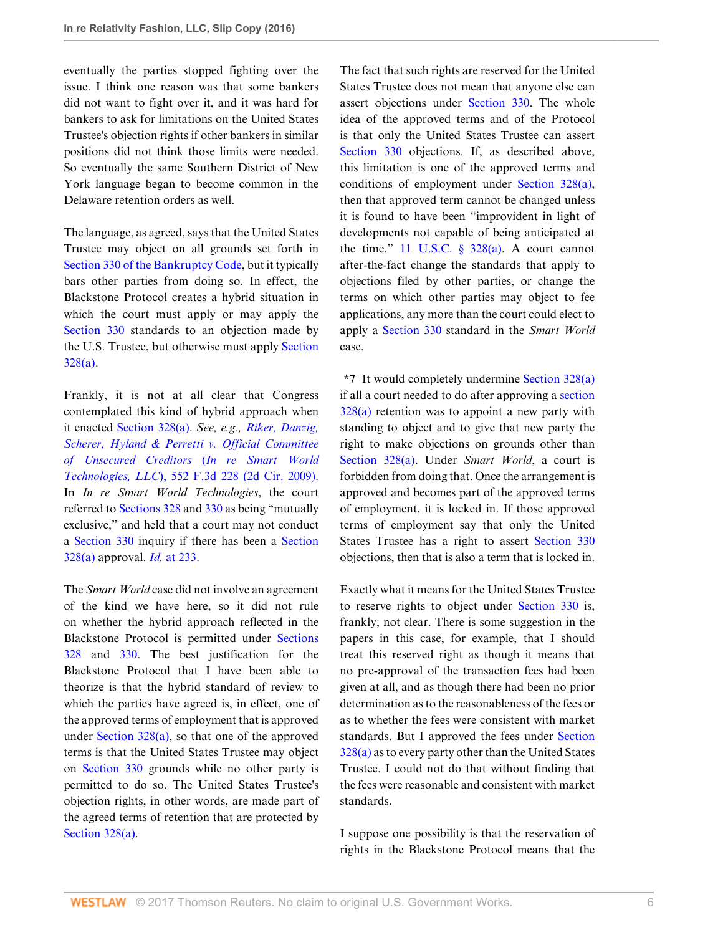eventually the parties stopped fighting over the issue. I think one reason was that some bankers did not want to fight over it, and it was hard for bankers to ask for limitations on the United States Trustee's objection rights if other bankers in similar positions did not think those limits were needed. So eventually the same Southern District of New York language began to become common in the Delaware retention orders as well.

The language, as agreed, says that the United States Trustee may object on all grounds set forth in [Section 330 of the Bankruptcy Code,](http://www.westlaw.com/Link/Document/FullText?findType=L&pubNum=1000611&cite=11USCAS330&originatingDoc=Ib5bf714013aa11e7afe7804507f6db3f&refType=LQ&originationContext=document&vr=3.0&rs=cblt1.0&transitionType=DocumentItem&contextData=(sc.Search)) but it typically bars other parties from doing so. In effect, the Blackstone Protocol creates a hybrid situation in which the court must apply or may apply the [Section 330](http://www.westlaw.com/Link/Document/FullText?findType=L&pubNum=1000611&cite=11USCAS330&originatingDoc=Ib5bf714013aa11e7afe7804507f6db3f&refType=LQ&originationContext=document&vr=3.0&rs=cblt1.0&transitionType=DocumentItem&contextData=(sc.Search)) standards to an objection made by the U.S. Trustee, but otherwise must apply [Section](http://www.westlaw.com/Link/Document/FullText?findType=L&pubNum=1000546&cite=11USCAS328&originatingDoc=Ib5bf714013aa11e7afe7804507f6db3f&refType=SP&originationContext=document&vr=3.0&rs=cblt1.0&transitionType=DocumentItem&contextData=(sc.Search)#co_pp_8b3b0000958a4) [328\(a\).](http://www.westlaw.com/Link/Document/FullText?findType=L&pubNum=1000546&cite=11USCAS328&originatingDoc=Ib5bf714013aa11e7afe7804507f6db3f&refType=SP&originationContext=document&vr=3.0&rs=cblt1.0&transitionType=DocumentItem&contextData=(sc.Search)#co_pp_8b3b0000958a4)

Frankly, it is not at all clear that Congress contemplated this kind of hybrid approach when it enacted [Section 328\(a\)](http://www.westlaw.com/Link/Document/FullText?findType=L&pubNum=1000546&cite=11USCAS328&originatingDoc=Ib5bf714013aa11e7afe7804507f6db3f&refType=SP&originationContext=document&vr=3.0&rs=cblt1.0&transitionType=DocumentItem&contextData=(sc.Search)#co_pp_8b3b0000958a4). *See, e.g., [Riker, Danzig,](http://www.westlaw.com/Link/Document/FullText?findType=Y&serNum=2017827973&pubNum=0000506&originatingDoc=Ib5bf714013aa11e7afe7804507f6db3f&refType=RP&originationContext=document&vr=3.0&rs=cblt1.0&transitionType=DocumentItem&contextData=(sc.Search)) [Scherer, Hyland & Perretti v. Official Committee](http://www.westlaw.com/Link/Document/FullText?findType=Y&serNum=2017827973&pubNum=0000506&originatingDoc=Ib5bf714013aa11e7afe7804507f6db3f&refType=RP&originationContext=document&vr=3.0&rs=cblt1.0&transitionType=DocumentItem&contextData=(sc.Search)) [of Unsecured Creditors](http://www.westlaw.com/Link/Document/FullText?findType=Y&serNum=2017827973&pubNum=0000506&originatingDoc=Ib5bf714013aa11e7afe7804507f6db3f&refType=RP&originationContext=document&vr=3.0&rs=cblt1.0&transitionType=DocumentItem&contextData=(sc.Search))* (*In re Smart World Technologies, LLC*[\), 552 F.3d 228 \(2d Cir. 2009\)](http://www.westlaw.com/Link/Document/FullText?findType=Y&serNum=2017827973&pubNum=0000506&originatingDoc=Ib5bf714013aa11e7afe7804507f6db3f&refType=RP&originationContext=document&vr=3.0&rs=cblt1.0&transitionType=DocumentItem&contextData=(sc.Search)). In *In re Smart World Technologies*, the court referred to [Sections 328](http://www.westlaw.com/Link/Document/FullText?findType=L&pubNum=1000546&cite=11USCAS328&originatingDoc=Ib5bf714013aa11e7afe7804507f6db3f&refType=LQ&originationContext=document&vr=3.0&rs=cblt1.0&transitionType=DocumentItem&contextData=(sc.Search)) and [330](http://www.westlaw.com/Link/Document/FullText?findType=L&pubNum=1000546&cite=11USCAS330&originatingDoc=Ib5bf714013aa11e7afe7804507f6db3f&refType=LQ&originationContext=document&vr=3.0&rs=cblt1.0&transitionType=DocumentItem&contextData=(sc.Search)) as being "mutually exclusive," and held that a court may not conduct a [Section 330](http://www.westlaw.com/Link/Document/FullText?findType=L&pubNum=1000611&cite=11USCAS330&originatingDoc=Ib5bf714013aa11e7afe7804507f6db3f&refType=LQ&originationContext=document&vr=3.0&rs=cblt1.0&transitionType=DocumentItem&contextData=(sc.Search)) inquiry if there has been a [Section](http://www.westlaw.com/Link/Document/FullText?findType=L&pubNum=1000546&cite=11USCAS328&originatingDoc=Ib5bf714013aa11e7afe7804507f6db3f&refType=SP&originationContext=document&vr=3.0&rs=cblt1.0&transitionType=DocumentItem&contextData=(sc.Search)#co_pp_8b3b0000958a4) [328\(a\)](http://www.westlaw.com/Link/Document/FullText?findType=L&pubNum=1000546&cite=11USCAS328&originatingDoc=Ib5bf714013aa11e7afe7804507f6db3f&refType=SP&originationContext=document&vr=3.0&rs=cblt1.0&transitionType=DocumentItem&contextData=(sc.Search)#co_pp_8b3b0000958a4) approval. *Id.* [at 233](http://www.westlaw.com/Link/Document/FullText?findType=Y&serNum=2017827973&pubNum=0000506&originatingDoc=Ib5bf714013aa11e7afe7804507f6db3f&refType=RP&fi=co_pp_sp_506_233&originationContext=document&vr=3.0&rs=cblt1.0&transitionType=DocumentItem&contextData=(sc.Search)#co_pp_sp_506_233).

The *Smart World* case did not involve an agreement of the kind we have here, so it did not rule on whether the hybrid approach reflected in the Blackstone Protocol is permitted under [Sections](http://www.westlaw.com/Link/Document/FullText?findType=L&pubNum=1000546&cite=11USCAS328&originatingDoc=Ib5bf714013aa11e7afe7804507f6db3f&refType=LQ&originationContext=document&vr=3.0&rs=cblt1.0&transitionType=DocumentItem&contextData=(sc.Search)) [328](http://www.westlaw.com/Link/Document/FullText?findType=L&pubNum=1000546&cite=11USCAS328&originatingDoc=Ib5bf714013aa11e7afe7804507f6db3f&refType=LQ&originationContext=document&vr=3.0&rs=cblt1.0&transitionType=DocumentItem&contextData=(sc.Search)) and [330](http://www.westlaw.com/Link/Document/FullText?findType=L&pubNum=1000546&cite=11USCAS330&originatingDoc=Ib5bf714013aa11e7afe7804507f6db3f&refType=LQ&originationContext=document&vr=3.0&rs=cblt1.0&transitionType=DocumentItem&contextData=(sc.Search)). The best justification for the Blackstone Protocol that I have been able to theorize is that the hybrid standard of review to which the parties have agreed is, in effect, one of the approved terms of employment that is approved under [Section 328\(a\)](http://www.westlaw.com/Link/Document/FullText?findType=L&pubNum=1000546&cite=11USCAS328&originatingDoc=Ib5bf714013aa11e7afe7804507f6db3f&refType=SP&originationContext=document&vr=3.0&rs=cblt1.0&transitionType=DocumentItem&contextData=(sc.Search)#co_pp_8b3b0000958a4), so that one of the approved terms is that the United States Trustee may object on [Section 330](http://www.westlaw.com/Link/Document/FullText?findType=L&pubNum=1000611&cite=11USCAS330&originatingDoc=Ib5bf714013aa11e7afe7804507f6db3f&refType=LQ&originationContext=document&vr=3.0&rs=cblt1.0&transitionType=DocumentItem&contextData=(sc.Search)) grounds while no other party is permitted to do so. The United States Trustee's objection rights, in other words, are made part of the agreed terms of retention that are protected by [Section 328\(a\).](http://www.westlaw.com/Link/Document/FullText?findType=L&pubNum=1000546&cite=11USCAS328&originatingDoc=Ib5bf714013aa11e7afe7804507f6db3f&refType=SP&originationContext=document&vr=3.0&rs=cblt1.0&transitionType=DocumentItem&contextData=(sc.Search)#co_pp_8b3b0000958a4)

The fact that such rights are reserved for the United States Trustee does not mean that anyone else can assert objections under [Section 330.](http://www.westlaw.com/Link/Document/FullText?findType=L&pubNum=1000611&cite=11USCAS330&originatingDoc=Ib5bf714013aa11e7afe7804507f6db3f&refType=LQ&originationContext=document&vr=3.0&rs=cblt1.0&transitionType=DocumentItem&contextData=(sc.Search)) The whole idea of the approved terms and of the Protocol is that only the United States Trustee can assert [Section 330](http://www.westlaw.com/Link/Document/FullText?findType=L&pubNum=1000611&cite=11USCAS330&originatingDoc=Ib5bf714013aa11e7afe7804507f6db3f&refType=LQ&originationContext=document&vr=3.0&rs=cblt1.0&transitionType=DocumentItem&contextData=(sc.Search)) objections. If, as described above, this limitation is one of the approved terms and conditions of employment under [Section 328\(a\)](http://www.westlaw.com/Link/Document/FullText?findType=L&pubNum=1000546&cite=11USCAS328&originatingDoc=Ib5bf714013aa11e7afe7804507f6db3f&refType=SP&originationContext=document&vr=3.0&rs=cblt1.0&transitionType=DocumentItem&contextData=(sc.Search)#co_pp_8b3b0000958a4), then that approved term cannot be changed unless it is found to have been "improvident in light of developments not capable of being anticipated at the time." 11 U.S.C.  $\S$  328(a). A court cannot after-the-fact change the standards that apply to objections filed by other parties, or change the terms on which other parties may object to fee applications, any more than the court could elect to apply a [Section 330](http://www.westlaw.com/Link/Document/FullText?findType=L&pubNum=1000611&cite=11USCAS330&originatingDoc=Ib5bf714013aa11e7afe7804507f6db3f&refType=LQ&originationContext=document&vr=3.0&rs=cblt1.0&transitionType=DocumentItem&contextData=(sc.Search)) standard in the *Smart World* case.

**\*7** It would completely undermine [Section 328\(a\)](http://www.westlaw.com/Link/Document/FullText?findType=L&pubNum=1000546&cite=11USCAS328&originatingDoc=Ib5bf714013aa11e7afe7804507f6db3f&refType=SP&originationContext=document&vr=3.0&rs=cblt1.0&transitionType=DocumentItem&contextData=(sc.Search)#co_pp_8b3b0000958a4) if all a court needed to do after approving a [section](http://www.westlaw.com/Link/Document/FullText?findType=L&pubNum=1000546&cite=11USCAS328&originatingDoc=Ib5bf714013aa11e7afe7804507f6db3f&refType=SP&originationContext=document&vr=3.0&rs=cblt1.0&transitionType=DocumentItem&contextData=(sc.Search)#co_pp_8b3b0000958a4) [328\(a\)](http://www.westlaw.com/Link/Document/FullText?findType=L&pubNum=1000546&cite=11USCAS328&originatingDoc=Ib5bf714013aa11e7afe7804507f6db3f&refType=SP&originationContext=document&vr=3.0&rs=cblt1.0&transitionType=DocumentItem&contextData=(sc.Search)#co_pp_8b3b0000958a4) retention was to appoint a new party with standing to object and to give that new party the right to make objections on grounds other than [Section 328\(a\).](http://www.westlaw.com/Link/Document/FullText?findType=L&pubNum=1000546&cite=11USCAS328&originatingDoc=Ib5bf714013aa11e7afe7804507f6db3f&refType=SP&originationContext=document&vr=3.0&rs=cblt1.0&transitionType=DocumentItem&contextData=(sc.Search)#co_pp_8b3b0000958a4) Under *Smart World*, a court is forbidden from doing that. Once the arrangement is approved and becomes part of the approved terms of employment, it is locked in. If those approved terms of employment say that only the United States Trustee has a right to assert [Section 330](http://www.westlaw.com/Link/Document/FullText?findType=L&pubNum=1000611&cite=11USCAS330&originatingDoc=Ib5bf714013aa11e7afe7804507f6db3f&refType=LQ&originationContext=document&vr=3.0&rs=cblt1.0&transitionType=DocumentItem&contextData=(sc.Search)) objections, then that is also a term that is locked in.

Exactly what it means for the United States Trustee to reserve rights to object under [Section 330](http://www.westlaw.com/Link/Document/FullText?findType=L&pubNum=1000611&cite=11USCAS330&originatingDoc=Ib5bf714013aa11e7afe7804507f6db3f&refType=LQ&originationContext=document&vr=3.0&rs=cblt1.0&transitionType=DocumentItem&contextData=(sc.Search)) is, frankly, not clear. There is some suggestion in the papers in this case, for example, that I should treat this reserved right as though it means that no pre-approval of the transaction fees had been given at all, and as though there had been no prior determination as to the reasonableness of the fees or as to whether the fees were consistent with market standards. But I approved the fees under [Section](http://www.westlaw.com/Link/Document/FullText?findType=L&pubNum=1000546&cite=11USCAS328&originatingDoc=Ib5bf714013aa11e7afe7804507f6db3f&refType=SP&originationContext=document&vr=3.0&rs=cblt1.0&transitionType=DocumentItem&contextData=(sc.Search)#co_pp_8b3b0000958a4) [328\(a\)](http://www.westlaw.com/Link/Document/FullText?findType=L&pubNum=1000546&cite=11USCAS328&originatingDoc=Ib5bf714013aa11e7afe7804507f6db3f&refType=SP&originationContext=document&vr=3.0&rs=cblt1.0&transitionType=DocumentItem&contextData=(sc.Search)#co_pp_8b3b0000958a4) as to every party other than the United States Trustee. I could not do that without finding that the fees were reasonable and consistent with market standards.

I suppose one possibility is that the reservation of rights in the Blackstone Protocol means that the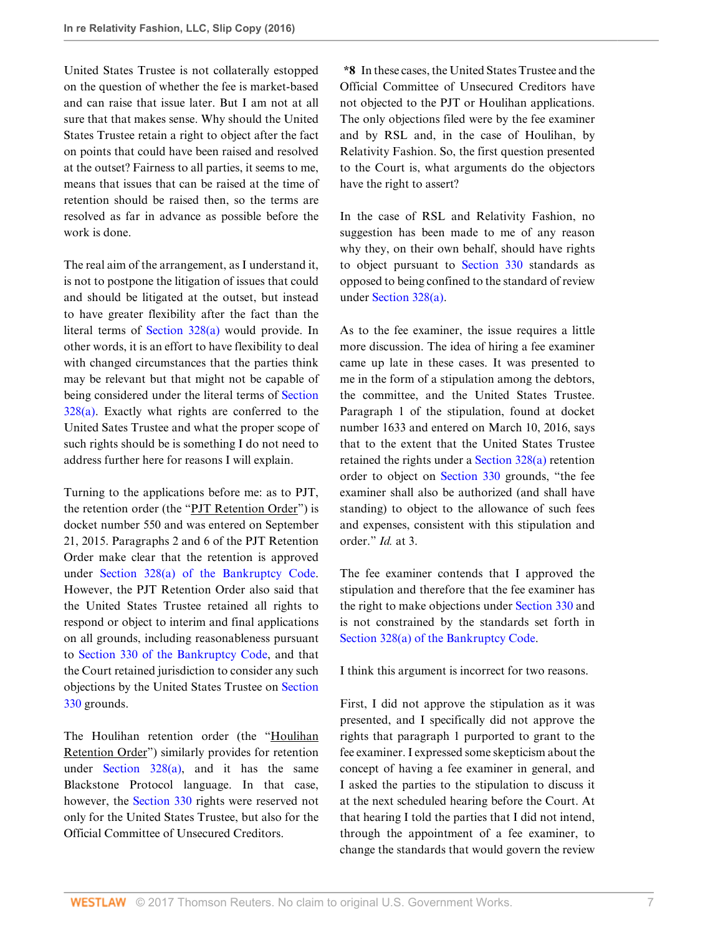United States Trustee is not collaterally estopped on the question of whether the fee is market-based and can raise that issue later. But I am not at all sure that that makes sense. Why should the United States Trustee retain a right to object after the fact on points that could have been raised and resolved at the outset? Fairness to all parties, it seems to me, means that issues that can be raised at the time of retention should be raised then, so the terms are resolved as far in advance as possible before the work is done.

The real aim of the arrangement, as I understand it, is not to postpone the litigation of issues that could and should be litigated at the outset, but instead to have greater flexibility after the fact than the literal terms of [Section 328\(a\)](http://www.westlaw.com/Link/Document/FullText?findType=L&pubNum=1000546&cite=11USCAS328&originatingDoc=Ib5bf714013aa11e7afe7804507f6db3f&refType=SP&originationContext=document&vr=3.0&rs=cblt1.0&transitionType=DocumentItem&contextData=(sc.Search)#co_pp_8b3b0000958a4) would provide. In other words, it is an effort to have flexibility to deal with changed circumstances that the parties think may be relevant but that might not be capable of being considered under the literal terms of [Section](http://www.westlaw.com/Link/Document/FullText?findType=L&pubNum=1000546&cite=11USCAS328&originatingDoc=Ib5bf714013aa11e7afe7804507f6db3f&refType=SP&originationContext=document&vr=3.0&rs=cblt1.0&transitionType=DocumentItem&contextData=(sc.Search)#co_pp_8b3b0000958a4) [328\(a\).](http://www.westlaw.com/Link/Document/FullText?findType=L&pubNum=1000546&cite=11USCAS328&originatingDoc=Ib5bf714013aa11e7afe7804507f6db3f&refType=SP&originationContext=document&vr=3.0&rs=cblt1.0&transitionType=DocumentItem&contextData=(sc.Search)#co_pp_8b3b0000958a4) Exactly what rights are conferred to the United Sates Trustee and what the proper scope of such rights should be is something I do not need to address further here for reasons I will explain.

Turning to the applications before me: as to PJT, the retention order (the "PJT Retention Order") is docket number 550 and was entered on September 21, 2015. Paragraphs 2 and 6 of the PJT Retention Order make clear that the retention is approved under [Section 328\(a\) of the Bankruptcy Code](http://www.westlaw.com/Link/Document/FullText?findType=L&pubNum=1000611&cite=11USCAS328&originatingDoc=Ib5bf714013aa11e7afe7804507f6db3f&refType=LQ&originationContext=document&vr=3.0&rs=cblt1.0&transitionType=DocumentItem&contextData=(sc.Search)). However, the PJT Retention Order also said that the United States Trustee retained all rights to respond or object to interim and final applications on all grounds, including reasonableness pursuant to [Section 330 of the Bankruptcy Code,](http://www.westlaw.com/Link/Document/FullText?findType=L&pubNum=1000611&cite=11USCAS330&originatingDoc=Ib5bf714013aa11e7afe7804507f6db3f&refType=LQ&originationContext=document&vr=3.0&rs=cblt1.0&transitionType=DocumentItem&contextData=(sc.Search)) and that the Court retained jurisdiction to consider any such objections by the United States Trustee on [Section](http://www.westlaw.com/Link/Document/FullText?findType=L&pubNum=1000611&cite=11USCAS330&originatingDoc=Ib5bf714013aa11e7afe7804507f6db3f&refType=LQ&originationContext=document&vr=3.0&rs=cblt1.0&transitionType=DocumentItem&contextData=(sc.Search)) [330](http://www.westlaw.com/Link/Document/FullText?findType=L&pubNum=1000611&cite=11USCAS330&originatingDoc=Ib5bf714013aa11e7afe7804507f6db3f&refType=LQ&originationContext=document&vr=3.0&rs=cblt1.0&transitionType=DocumentItem&contextData=(sc.Search)) grounds.

The Houlihan retention order (the "Houlihan Retention Order") similarly provides for retention under Section  $328(a)$ , and it has the same Blackstone Protocol language. In that case, however, the [Section 330](http://www.westlaw.com/Link/Document/FullText?findType=L&pubNum=1000611&cite=11USCAS330&originatingDoc=Ib5bf714013aa11e7afe7804507f6db3f&refType=LQ&originationContext=document&vr=3.0&rs=cblt1.0&transitionType=DocumentItem&contextData=(sc.Search)) rights were reserved not only for the United States Trustee, but also for the Official Committee of Unsecured Creditors.

**\*8** In these cases, the United States Trustee and the Official Committee of Unsecured Creditors have not objected to the PJT or Houlihan applications. The only objections filed were by the fee examiner and by RSL and, in the case of Houlihan, by Relativity Fashion. So, the first question presented to the Court is, what arguments do the objectors have the right to assert?

In the case of RSL and Relativity Fashion, no suggestion has been made to me of any reason why they, on their own behalf, should have rights to object pursuant to [Section 330](http://www.westlaw.com/Link/Document/FullText?findType=L&pubNum=1000611&cite=11USCAS330&originatingDoc=Ib5bf714013aa11e7afe7804507f6db3f&refType=LQ&originationContext=document&vr=3.0&rs=cblt1.0&transitionType=DocumentItem&contextData=(sc.Search)) standards as opposed to being confined to the standard of review under [Section 328\(a\).](http://www.westlaw.com/Link/Document/FullText?findType=L&pubNum=1000611&cite=11USCAS328&originatingDoc=Ib5bf714013aa11e7afe7804507f6db3f&refType=LQ&originationContext=document&vr=3.0&rs=cblt1.0&transitionType=DocumentItem&contextData=(sc.Search))

As to the fee examiner, the issue requires a little more discussion. The idea of hiring a fee examiner came up late in these cases. It was presented to me in the form of a stipulation among the debtors, the committee, and the United States Trustee. Paragraph 1 of the stipulation, found at docket number 1633 and entered on March 10, 2016, says that to the extent that the United States Trustee retained the rights under a [Section 328\(a\)](http://www.westlaw.com/Link/Document/FullText?findType=L&pubNum=1000611&cite=11USCAS328&originatingDoc=Ib5bf714013aa11e7afe7804507f6db3f&refType=LQ&originationContext=document&vr=3.0&rs=cblt1.0&transitionType=DocumentItem&contextData=(sc.Search)) retention order to object on [Section 330](http://www.westlaw.com/Link/Document/FullText?findType=L&pubNum=1000611&cite=11USCAS330&originatingDoc=Ib5bf714013aa11e7afe7804507f6db3f&refType=LQ&originationContext=document&vr=3.0&rs=cblt1.0&transitionType=DocumentItem&contextData=(sc.Search)) grounds, "the fee examiner shall also be authorized (and shall have standing) to object to the allowance of such fees and expenses, consistent with this stipulation and order." *Id.* at 3.

The fee examiner contends that I approved the stipulation and therefore that the fee examiner has the right to make objections under [Section 330](http://www.westlaw.com/Link/Document/FullText?findType=L&pubNum=1000611&cite=11USCAS330&originatingDoc=Ib5bf714013aa11e7afe7804507f6db3f&refType=LQ&originationContext=document&vr=3.0&rs=cblt1.0&transitionType=DocumentItem&contextData=(sc.Search)) and is not constrained by the standards set forth in [Section 328\(a\) of the Bankruptcy Code.](http://www.westlaw.com/Link/Document/FullText?findType=L&pubNum=1000611&cite=11USCAS328&originatingDoc=Ib5bf714013aa11e7afe7804507f6db3f&refType=LQ&originationContext=document&vr=3.0&rs=cblt1.0&transitionType=DocumentItem&contextData=(sc.Search))

I think this argument is incorrect for two reasons.

First, I did not approve the stipulation as it was presented, and I specifically did not approve the rights that paragraph 1 purported to grant to the fee examiner. I expressed some skepticism about the concept of having a fee examiner in general, and I asked the parties to the stipulation to discuss it at the next scheduled hearing before the Court. At that hearing I told the parties that I did not intend, through the appointment of a fee examiner, to change the standards that would govern the review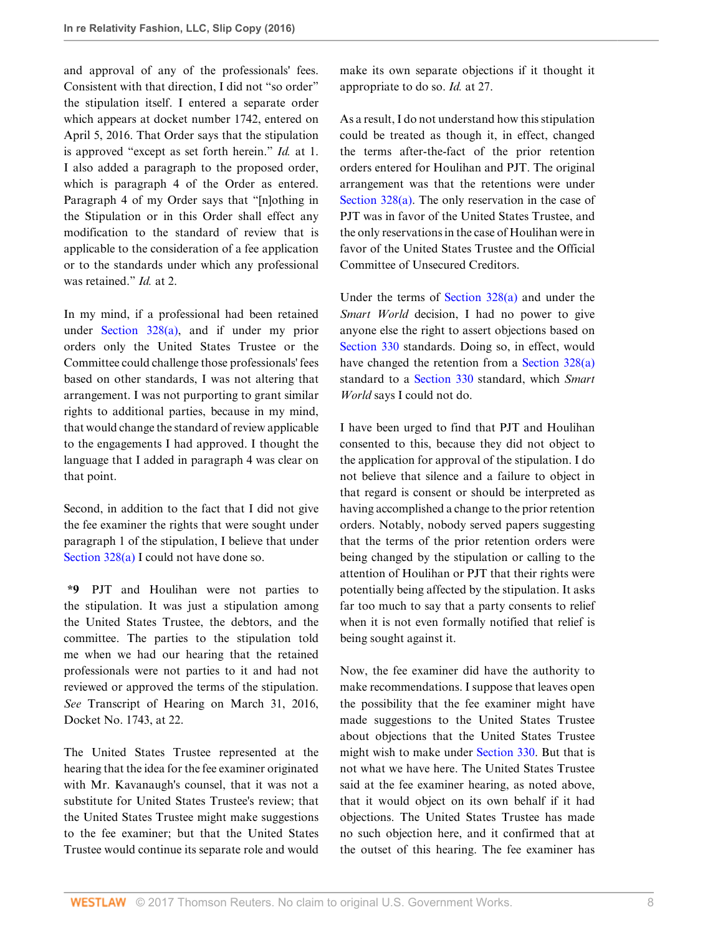and approval of any of the professionals' fees. Consistent with that direction, I did not "so order" the stipulation itself. I entered a separate order which appears at docket number 1742, entered on April 5, 2016. That Order says that the stipulation is approved "except as set forth herein." *Id.* at 1. I also added a paragraph to the proposed order, which is paragraph 4 of the Order as entered. Paragraph 4 of my Order says that "[n]othing in the Stipulation or in this Order shall effect any modification to the standard of review that is applicable to the consideration of a fee application or to the standards under which any professional was retained." *Id.* at 2.

In my mind, if a professional had been retained under [Section 328\(a\),](http://www.westlaw.com/Link/Document/FullText?findType=L&pubNum=1000611&cite=11USCAS328&originatingDoc=Ib5bf714013aa11e7afe7804507f6db3f&refType=LQ&originationContext=document&vr=3.0&rs=cblt1.0&transitionType=DocumentItem&contextData=(sc.Search)) and if under my prior orders only the United States Trustee or the Committee could challenge those professionals' fees based on other standards, I was not altering that arrangement. I was not purporting to grant similar rights to additional parties, because in my mind, that would change the standard of review applicable to the engagements I had approved. I thought the language that I added in paragraph 4 was clear on that point.

Second, in addition to the fact that I did not give the fee examiner the rights that were sought under paragraph 1 of the stipulation, I believe that under Section  $328(a)$  I could not have done so.

**\*9** PJT and Houlihan were not parties to the stipulation. It was just a stipulation among the United States Trustee, the debtors, and the committee. The parties to the stipulation told me when we had our hearing that the retained professionals were not parties to it and had not reviewed or approved the terms of the stipulation. *See* Transcript of Hearing on March 31, 2016, Docket No. 1743, at 22.

The United States Trustee represented at the hearing that the idea for the fee examiner originated with Mr. Kavanaugh's counsel, that it was not a substitute for United States Trustee's review; that the United States Trustee might make suggestions to the fee examiner; but that the United States Trustee would continue its separate role and would make its own separate objections if it thought it appropriate to do so. *Id.* at 27.

As a result, I do not understand how this stipulation could be treated as though it, in effect, changed the terms after-the-fact of the prior retention orders entered for Houlihan and PJT. The original arrangement was that the retentions were under [Section 328\(a\)](http://www.westlaw.com/Link/Document/FullText?findType=L&pubNum=1000611&cite=11USCAS328&originatingDoc=Ib5bf714013aa11e7afe7804507f6db3f&refType=LQ&originationContext=document&vr=3.0&rs=cblt1.0&transitionType=DocumentItem&contextData=(sc.Search)). The only reservation in the case of PJT was in favor of the United States Trustee, and the only reservations in the case of Houlihan were in favor of the United States Trustee and the Official Committee of Unsecured Creditors.

Under the terms of [Section 328\(a\)](http://www.westlaw.com/Link/Document/FullText?findType=L&pubNum=1000611&cite=11USCAS328&originatingDoc=Ib5bf714013aa11e7afe7804507f6db3f&refType=LQ&originationContext=document&vr=3.0&rs=cblt1.0&transitionType=DocumentItem&contextData=(sc.Search)) and under the *Smart World* decision, I had no power to give anyone else the right to assert objections based on [Section 330](http://www.westlaw.com/Link/Document/FullText?findType=L&pubNum=1000611&cite=11USCAS330&originatingDoc=Ib5bf714013aa11e7afe7804507f6db3f&refType=LQ&originationContext=document&vr=3.0&rs=cblt1.0&transitionType=DocumentItem&contextData=(sc.Search)) standards. Doing so, in effect, would have changed the retention from a [Section 328\(a\)](http://www.westlaw.com/Link/Document/FullText?findType=L&pubNum=1000611&cite=11USCAS328&originatingDoc=Ib5bf714013aa11e7afe7804507f6db3f&refType=LQ&originationContext=document&vr=3.0&rs=cblt1.0&transitionType=DocumentItem&contextData=(sc.Search)) standard to a [Section 330](http://www.westlaw.com/Link/Document/FullText?findType=L&pubNum=1000611&cite=11USCAS330&originatingDoc=Ib5bf714013aa11e7afe7804507f6db3f&refType=LQ&originationContext=document&vr=3.0&rs=cblt1.0&transitionType=DocumentItem&contextData=(sc.Search)) standard, which *Smart World* says I could not do.

I have been urged to find that PJT and Houlihan consented to this, because they did not object to the application for approval of the stipulation. I do not believe that silence and a failure to object in that regard is consent or should be interpreted as having accomplished a change to the prior retention orders. Notably, nobody served papers suggesting that the terms of the prior retention orders were being changed by the stipulation or calling to the attention of Houlihan or PJT that their rights were potentially being affected by the stipulation. It asks far too much to say that a party consents to relief when it is not even formally notified that relief is being sought against it.

Now, the fee examiner did have the authority to make recommendations. I suppose that leaves open the possibility that the fee examiner might have made suggestions to the United States Trustee about objections that the United States Trustee might wish to make under [Section 330](http://www.westlaw.com/Link/Document/FullText?findType=L&pubNum=1000611&cite=11USCAS330&originatingDoc=Ib5bf714013aa11e7afe7804507f6db3f&refType=LQ&originationContext=document&vr=3.0&rs=cblt1.0&transitionType=DocumentItem&contextData=(sc.Search)). But that is not what we have here. The United States Trustee said at the fee examiner hearing, as noted above, that it would object on its own behalf if it had objections. The United States Trustee has made no such objection here, and it confirmed that at the outset of this hearing. The fee examiner has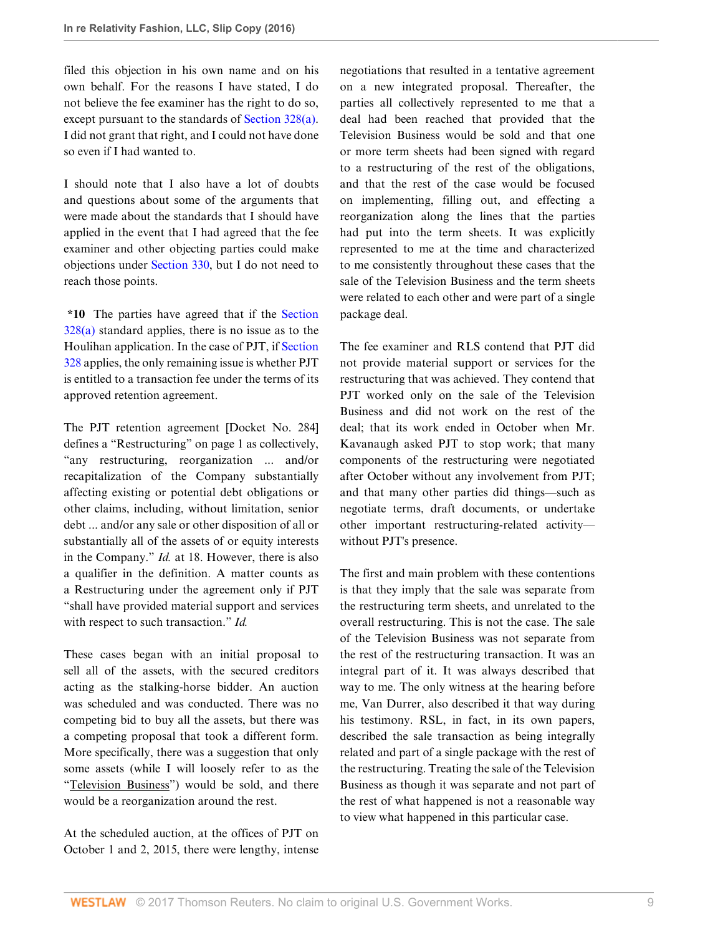filed this objection in his own name and on his own behalf. For the reasons I have stated, I do not believe the fee examiner has the right to do so, except pursuant to the standards of [Section 328\(a\)](http://www.westlaw.com/Link/Document/FullText?findType=L&pubNum=1000611&cite=11USCAS328&originatingDoc=Ib5bf714013aa11e7afe7804507f6db3f&refType=LQ&originationContext=document&vr=3.0&rs=cblt1.0&transitionType=DocumentItem&contextData=(sc.Search)). I did not grant that right, and I could not have done so even if I had wanted to.

I should note that I also have a lot of doubts and questions about some of the arguments that were made about the standards that I should have applied in the event that I had agreed that the fee examiner and other objecting parties could make objections under [Section 330](http://www.westlaw.com/Link/Document/FullText?findType=L&pubNum=1000611&cite=11USCAS330&originatingDoc=Ib5bf714013aa11e7afe7804507f6db3f&refType=LQ&originationContext=document&vr=3.0&rs=cblt1.0&transitionType=DocumentItem&contextData=(sc.Search)), but I do not need to reach those points.

**\*10** The parties have agreed that if the [Section](http://www.westlaw.com/Link/Document/FullText?findType=L&pubNum=1000611&cite=11USCAS328&originatingDoc=Ib5bf714013aa11e7afe7804507f6db3f&refType=LQ&originationContext=document&vr=3.0&rs=cblt1.0&transitionType=DocumentItem&contextData=(sc.Search))  $328(a)$  standard applies, there is no issue as to the Houlihan application. In the case of PJT, if [Section](http://www.westlaw.com/Link/Document/FullText?findType=L&pubNum=1000611&cite=11USCAS328&originatingDoc=Ib5bf714013aa11e7afe7804507f6db3f&refType=LQ&originationContext=document&vr=3.0&rs=cblt1.0&transitionType=DocumentItem&contextData=(sc.Search)) [328](http://www.westlaw.com/Link/Document/FullText?findType=L&pubNum=1000611&cite=11USCAS328&originatingDoc=Ib5bf714013aa11e7afe7804507f6db3f&refType=LQ&originationContext=document&vr=3.0&rs=cblt1.0&transitionType=DocumentItem&contextData=(sc.Search)) applies, the only remaining issue is whether PJT is entitled to a transaction fee under the terms of its approved retention agreement.

The PJT retention agreement [Docket No. 284] defines a "Restructuring" on page 1 as collectively, "any restructuring, reorganization ... and/or recapitalization of the Company substantially affecting existing or potential debt obligations or other claims, including, without limitation, senior debt ... and/or any sale or other disposition of all or substantially all of the assets of or equity interests in the Company." *Id.* at 18. However, there is also a qualifier in the definition. A matter counts as a Restructuring under the agreement only if PJT "shall have provided material support and services with respect to such transaction." *Id.*

These cases began with an initial proposal to sell all of the assets, with the secured creditors acting as the stalking-horse bidder. An auction was scheduled and was conducted. There was no competing bid to buy all the assets, but there was a competing proposal that took a different form. More specifically, there was a suggestion that only some assets (while I will loosely refer to as the "Television Business") would be sold, and there would be a reorganization around the rest.

At the scheduled auction, at the offices of PJT on October 1 and 2, 2015, there were lengthy, intense

negotiations that resulted in a tentative agreement on a new integrated proposal. Thereafter, the parties all collectively represented to me that a deal had been reached that provided that the Television Business would be sold and that one or more term sheets had been signed with regard to a restructuring of the rest of the obligations, and that the rest of the case would be focused on implementing, filling out, and effecting a reorganization along the lines that the parties had put into the term sheets. It was explicitly represented to me at the time and characterized to me consistently throughout these cases that the sale of the Television Business and the term sheets were related to each other and were part of a single package deal.

The fee examiner and RLS contend that PJT did not provide material support or services for the restructuring that was achieved. They contend that PJT worked only on the sale of the Television Business and did not work on the rest of the deal; that its work ended in October when Mr. Kavanaugh asked PJT to stop work; that many components of the restructuring were negotiated after October without any involvement from PJT; and that many other parties did things—such as negotiate terms, draft documents, or undertake other important restructuring-related activity without PJT's presence.

The first and main problem with these contentions is that they imply that the sale was separate from the restructuring term sheets, and unrelated to the overall restructuring. This is not the case. The sale of the Television Business was not separate from the rest of the restructuring transaction. It was an integral part of it. It was always described that way to me. The only witness at the hearing before me, Van Durrer, also described it that way during his testimony. RSL, in fact, in its own papers, described the sale transaction as being integrally related and part of a single package with the rest of the restructuring. Treating the sale of the Television Business as though it was separate and not part of the rest of what happened is not a reasonable way to view what happened in this particular case.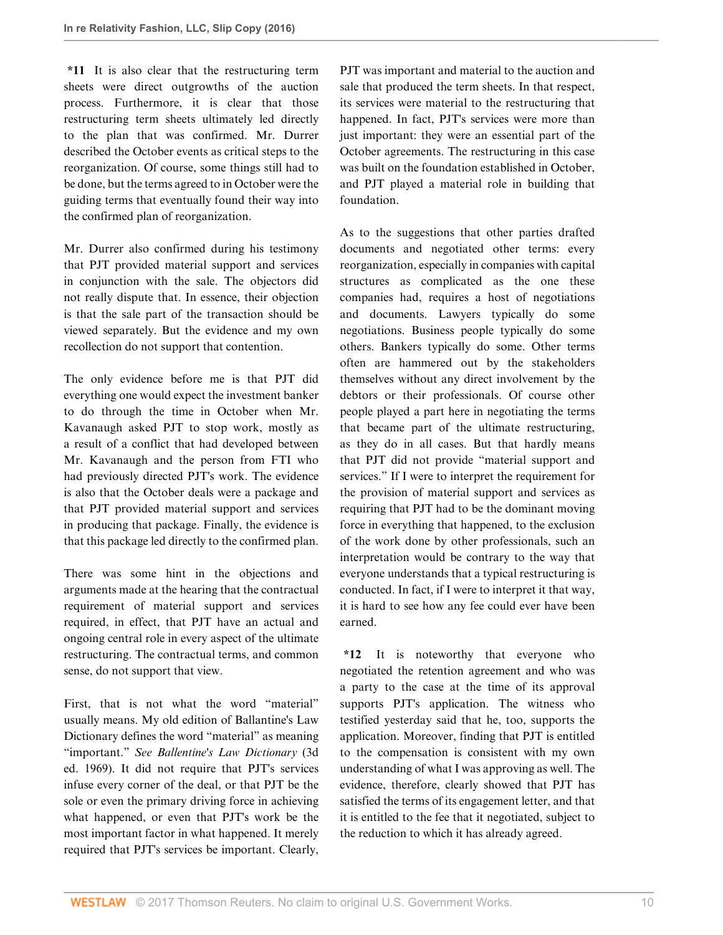**\*11** It is also clear that the restructuring term sheets were direct outgrowths of the auction process. Furthermore, it is clear that those restructuring term sheets ultimately led directly to the plan that was confirmed. Mr. Durrer described the October events as critical steps to the reorganization. Of course, some things still had to be done, but the terms agreed to in October were the guiding terms that eventually found their way into the confirmed plan of reorganization.

Mr. Durrer also confirmed during his testimony that PJT provided material support and services in conjunction with the sale. The objectors did not really dispute that. In essence, their objection is that the sale part of the transaction should be viewed separately. But the evidence and my own recollection do not support that contention.

The only evidence before me is that PJT did everything one would expect the investment banker to do through the time in October when Mr. Kavanaugh asked PJT to stop work, mostly as a result of a conflict that had developed between Mr. Kavanaugh and the person from FTI who had previously directed PJT's work. The evidence is also that the October deals were a package and that PJT provided material support and services in producing that package. Finally, the evidence is that this package led directly to the confirmed plan.

There was some hint in the objections and arguments made at the hearing that the contractual requirement of material support and services required, in effect, that PJT have an actual and ongoing central role in every aspect of the ultimate restructuring. The contractual terms, and common sense, do not support that view.

First, that is not what the word "material" usually means. My old edition of Ballantine's Law Dictionary defines the word "material" as meaning "important." *See Ballentine's Law Dictionary* (3d ed. 1969). It did not require that PJT's services infuse every corner of the deal, or that PJT be the sole or even the primary driving force in achieving what happened, or even that PJT's work be the most important factor in what happened. It merely required that PJT's services be important. Clearly, PJT was important and material to the auction and sale that produced the term sheets. In that respect, its services were material to the restructuring that happened. In fact, PJT's services were more than just important: they were an essential part of the October agreements. The restructuring in this case was built on the foundation established in October, and PJT played a material role in building that foundation.

As to the suggestions that other parties drafted documents and negotiated other terms: every reorganization, especially in companies with capital structures as complicated as the one these companies had, requires a host of negotiations and documents. Lawyers typically do some negotiations. Business people typically do some others. Bankers typically do some. Other terms often are hammered out by the stakeholders themselves without any direct involvement by the debtors or their professionals. Of course other people played a part here in negotiating the terms that became part of the ultimate restructuring, as they do in all cases. But that hardly means that PJT did not provide "material support and services." If I were to interpret the requirement for the provision of material support and services as requiring that PJT had to be the dominant moving force in everything that happened, to the exclusion of the work done by other professionals, such an interpretation would be contrary to the way that everyone understands that a typical restructuring is conducted. In fact, if I were to interpret it that way, it is hard to see how any fee could ever have been earned.

**\*12** It is noteworthy that everyone who negotiated the retention agreement and who was a party to the case at the time of its approval supports PJT's application. The witness who testified yesterday said that he, too, supports the application. Moreover, finding that PJT is entitled to the compensation is consistent with my own understanding of what I was approving as well. The evidence, therefore, clearly showed that PJT has satisfied the terms of its engagement letter, and that it is entitled to the fee that it negotiated, subject to the reduction to which it has already agreed.